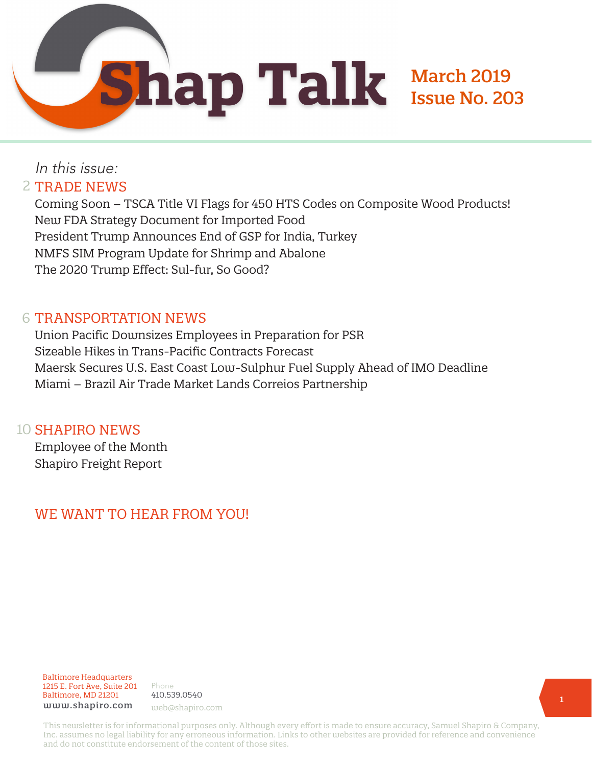March 2019

Issue No. 203

# In this issue: 2 TRADE NEWS

Coming Soon – TSCA Title VI Flags for 450 HTS Codes on Composite Wood Products! New FDA Strategy Document for Imported Food President Trump Announces End of GSP for India, Turkey NMFS SIM Program Update for Shrimp and Abalone The 2020 Trump Effect: Sul-fur, So Good?

# 6 TRANSPORTATION NEWS

Union Pacific Downsizes Employees in Preparation for PSR Sizeable Hikes in Trans-Pacific Contracts Forecast Maersk Secures U.S. East Coast Low-Sulphur Fuel Supply Ahead of IMO Deadline Miami – Brazil Air Trade Market Lands Correios Partnership

# 10 SHAPIRO NEWS

Employee of the Month Shapiro Freight Report

# WE WANT TO HEAR FROM YOU!

#### Baltimore Headquarters 1215 E. Fort Ave, Suite 201 Baltimore, MD 21201 www.shapiro.com web@shapiro.com

Phone 410.539.0540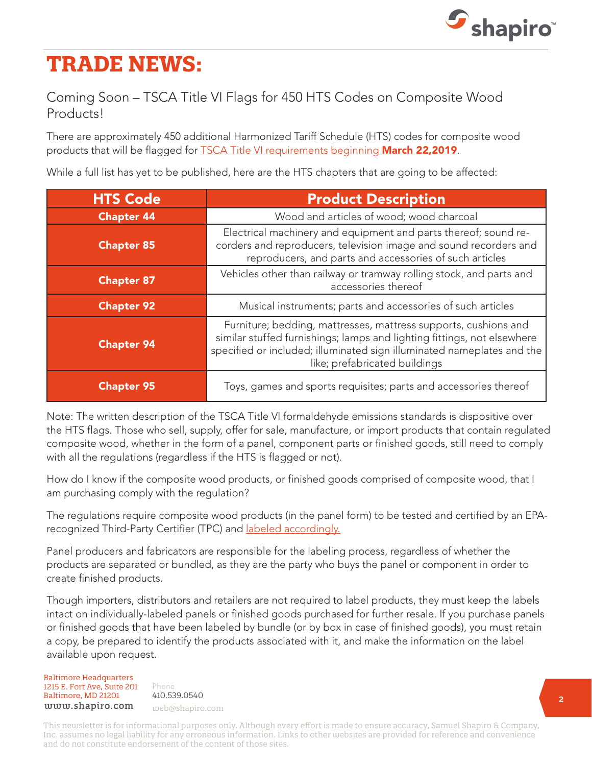

# **TRADE NEWS:**

# Coming Soon – TSCA Title VI Flags for 450 HTS Codes on Composite Wood Products!

There are approximately 450 additional Harmonized Tariff Schedule (HTS) codes for composite wood products that will be flagged for [TSCA Title VI requirements beginning](https://www.shapiro.com/alerts/importers-of-composite-wood-products-here-are-some-answers-to-your-frequently-asked-questions/) **March 22,2019**.

While a full list has yet to be published, here are the HTS chapters that are going to be affected:

| <b>HTS Code</b>   | <b>Product Description</b>                                                                                                                                                                                                                            |  |  |
|-------------------|-------------------------------------------------------------------------------------------------------------------------------------------------------------------------------------------------------------------------------------------------------|--|--|
| <b>Chapter 44</b> | Wood and articles of wood; wood charcoal                                                                                                                                                                                                              |  |  |
| <b>Chapter 85</b> | Electrical machinery and equipment and parts thereof; sound re-<br>corders and reproducers, television image and sound recorders and<br>reproducers, and parts and accessories of such articles                                                       |  |  |
| <b>Chapter 87</b> | Vehicles other than railway or tramway rolling stock, and parts and<br>accessories thereof                                                                                                                                                            |  |  |
| <b>Chapter 92</b> | Musical instruments; parts and accessories of such articles                                                                                                                                                                                           |  |  |
| <b>Chapter 94</b> | Furniture; bedding, mattresses, mattress supports, cushions and<br>similar stuffed furnishings; lamps and lighting fittings, not elsewhere<br>specified or included; illuminated sign illuminated nameplates and the<br>like; prefabricated buildings |  |  |
| <b>Chapter 95</b> | Toys, games and sports requisites; parts and accessories thereof                                                                                                                                                                                      |  |  |

Note: The written description of the TSCA Title VI formaldehyde emissions standards is dispositive over the HTS flags. Those who sell, supply, offer for sale, manufacture, or import products that contain regulated composite wood, whether in the form of a panel, component parts or finished goods, still need to comply with all the regulations (regardless if the HTS is flagged or not).

How do I know if the composite wood products, or finished goods comprised of composite wood, that I am purchasing comply with the regulation?

The regulations require composite wood products (in the panel form) to be tested and certified by an EPArecognized Third-Party Certifier (TPC) and [labeled accordingly.](https://www.shapiro.com/newsletters/january-2019-issue-201/#st-2)

Panel producers and fabricators are responsible for the labeling process, regardless of whether the products are separated or bundled, as they are the party who buys the panel or component in order to create finished products.

Though importers, distributors and retailers are not required to label products, they must keep the labels intact on individually-labeled panels or finished goods purchased for further resale. If you purchase panels or finished goods that have been labeled by bundle (or by box in case of finished goods), you must retain a copy, be prepared to identify the products associated with it, and make the information on the label available upon request.

Baltimore Headquarters Baltimore Headquarters 1215 E. Fort Ave, Suite 201 www.shapiro.com <sub>web@shapiro.com</sub> Baltimore, MD 21201

Phone Phone rnone<br>410.539.0540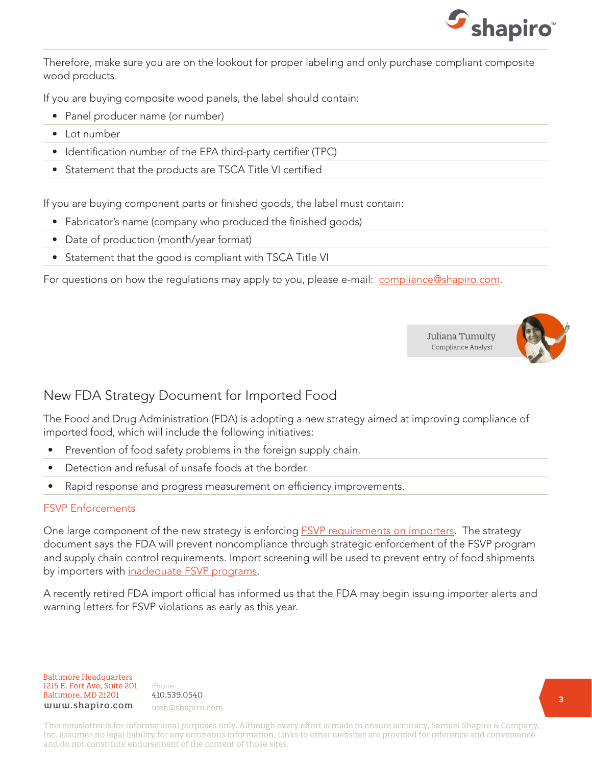

Therefore, make sure you are on the lookout for proper labeling and only purchase compliant composite wood products.

If you are buying composite wood panels, the label should contain:

- Panel producer name (or number)
- Lot number
- Identification number of the EPA third-party certifier (TPC)
- Statement that the products are TSCA Title VI certified

If you are buying component parts or finished goods, the label must contain:

- Fabricator's name (company who produced the finished goods)
- Date of production (month/year format)
- Statement that the good is compliant with TSCA Title VI

For questions on how the regulations may apply to you, please e-mail: [compliance@shapiro.com](mailto:compliance%40shapiro.com?subject=).





# New FDA Strategy Document for Imported Food

The Food and Drug Administration (FDA) is adopting a new strategy aimed at improving compliance of imported food, which will include the following initiatives:

- Prevention of food safety problems in the foreign supply chain.
- Detection and refusal of unsafe foods at the border.
- Rapid response and progress measurement on efficiency improvements.

### FSVP Enforcements

One large component of the new strategy is enforcing **FSVP** requirements on importers. The strategy document says the FDA will prevent noncompliance through strategic enforcement of the FSVP program and supply chain control requirements. Import screening will be used to prevent entry of food shipments by importers with [inadequate FSVP programs.](https://www.shapiro.com/blog/importer-clarity-for-fdas-fsvp-program/)

A recently retired FDA import official has informed us that the FDA may begin issuing importer alerts and warning letters for FSVP violations as early as this year.

Baltimore Headquarters Baltimore Headquarters<br>1215 E. F 1215 E. Fort Ave, Suite 201 www.shapiro.com <sub>web@shapiro.com</sub> Baltimore, MD 21201

Phone Phone rnone<br>410.539.0540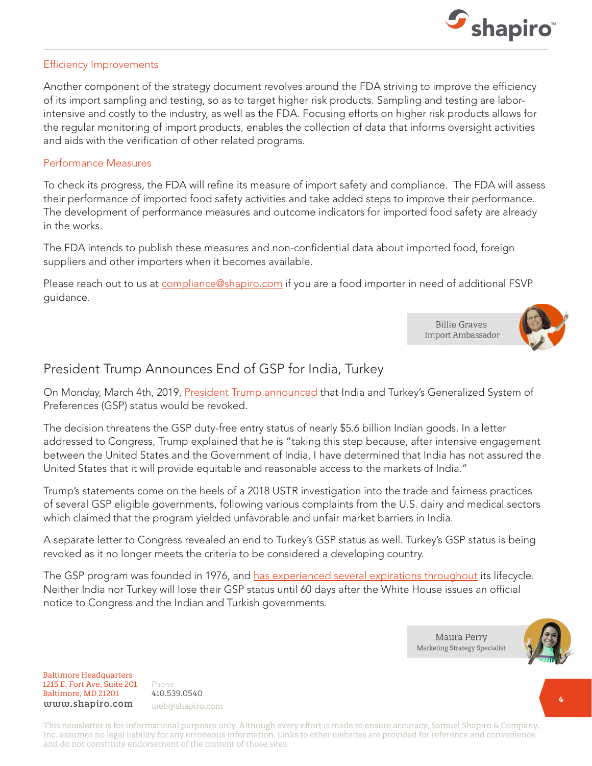

### Efficiency Improvements

Another component of the strategy document revolves around the FDA striving to improve the efficiency of its import sampling and testing, so as to target higher risk products. Sampling and testing are laborintensive and costly to the industry, as well as the FDA. Focusing efforts on higher risk products allows for the regular monitoring of import products, enables the collection of data that informs oversight activities and aids with the verification of other related programs.

### Performance Measures

To check its progress, the FDA will refine its measure of import safety and compliance. The FDA will assess their performance of imported food safety activities and take added steps to improve their performance. The development of performance measures and outcome indicators for imported food safety are already in the works.

The FDA intends to publish these measures and non-confidential data about imported food, foreign suppliers and other importers when it becomes available.

Please reach out to us at [compliance@shapiro.com](mailto:compliance%40shapiro.com?subject=) if you are a food importer in need of additional FSVP guidance.

> **Billie Graves** Import Ambassador



# President Trump Announces End of GSP for India, Turkey

On Monday, March 4th, 2019, [President Trump announced](https://www.shapiro.com/alerts/president-trump-announces-end-of-gsp-for-india-turkey/) that India and Turkey's Generalized System of Preferences (GSP) status would be revoked.

The decision threatens the GSP duty-free entry status of nearly \$5.6 billion Indian goods. In a letter addressed to Congress, Trump explained that he is "taking this step because, after intensive engagement between the United States and the Government of India, I have determined that India has not assured the United States that it will provide equitable and reasonable access to the markets of India."

Trump's statements come on the heels of a 2018 USTR investigation into the trade and fairness practices of several GSP eligible governments, following various complaints from the U.S. dairy and medical sectors which claimed that the program yielded unfavorable and unfair market barriers in India.

A separate letter to Congress revealed an end to Turkey's GSP status as well. Turkey's GSP status is being revoked as it no longer meets the criteria to be considered a developing country.

The GSP program was founded in 1976, and [has experienced several expirations throughout](https://www.shapiro.com/alerts/countdown-to-gsp-expiring/) its lifecycle. Neither India nor Turkey will lose their GSP status until 60 days after the White House issues an official notice to Congress and the Indian and Turkish governments.



Baltimore Headquarters Baltimore Headquarters 1215 E. Fort Ave, Suite 201 1215 E. Fort Ave, Suite 201 Baltimore, MD 21201 Baltimore, MD 21201 www.shapiro.com

Phone Phone 410.539.0540 web@shapiro.com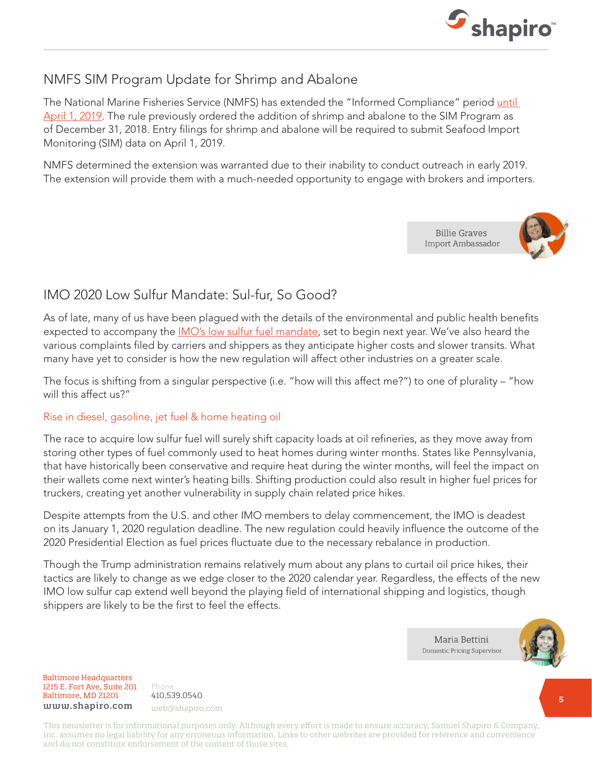

# NMFS SIM Program Update for Shrimp and Abalone

The National Marine Fisheries Service (NMFS) has extended the "Informed Compliance" period [until](https://www.shapiro.com/alerts/seafood-import-monitoring-program-simp-compliance-period-to-terminate-on-april-1-2019/)  [April 1, 2019](https://www.shapiro.com/alerts/seafood-import-monitoring-program-simp-compliance-period-to-terminate-on-april-1-2019/). The rule previously ordered the addition of shrimp and abalone to the SIM Program as of December 31, 2018. Entry filings for shrimp and abalone will be required to submit Seafood Import Monitoring (SIM) data on April 1, 2019.

NMFS determined the extension was warranted due to their inability to conduct outreach in early 2019. The extension will provide them with a much-needed opportunity to engage with brokers and importers.

> **Billie Graves** Import Ambassador



# IMO 2020 Low Sulfur Mandate: Sul-fur, So Good?

As of late, many of us have been plagued with the details of the environmental and public health benefits expected to accompany the *IMO's low sulfur fuel mandate*, set to begin next year. We've also heard the various complaints filed by carriers and shippers as they anticipate higher costs and slower transits. What many have yet to consider is how the new regulation will affect other industries on a greater scale.

The focus is shifting from a singular perspective (i.e. "how will this affect me?") to one of plurality – "how will this affect us?"

### Rise in diesel, gasoline, jet fuel & home heating oil

The race to acquire low sulfur fuel will surely shift capacity loads at oil refineries, as they move away from storing other types of fuel commonly used to heat homes during winter months. States like Pennsylvania, that have historically been conservative and require heat during the winter months, will feel the impact on their wallets come next winter's heating bills. Shifting production could also result in higher fuel prices for truckers, creating yet another vulnerability in supply chain related price hikes.

Despite attempts from the U.S. and other IMO members to delay commencement, the IMO is deadest on its January 1, 2020 regulation deadline. The new regulation could heavily influence the outcome of the 2020 Presidential Election as fuel prices fluctuate due to the necessary rebalance in production.

Though the Trump administration remains relatively mum about any plans to curtail oil price hikes, their tactics are likely to change as we edge closer to the 2020 calendar year. Regardless, the effects of the new IMO low sulfur cap extend well beyond the playing field of international shipping and logistics, though shippers are likely to be the first to feel the effects.



Baltimore Headquarters Baltimore Headquarters 1215 E. Fort Ave, Suite 201 www.shapiro.com <sub>web@shapiro.com</sub> Baltimore, MD 21201

Phone Phone rnone<br>410.539.0540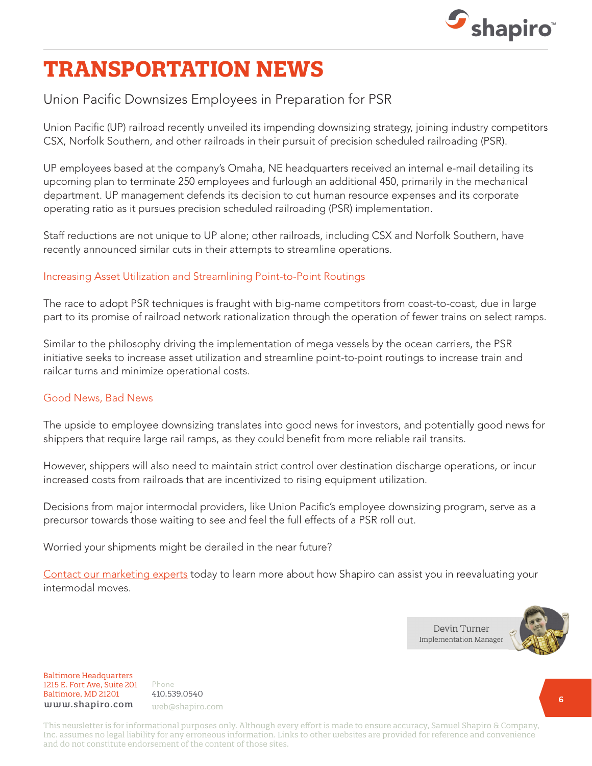

# **TRANSPORTATION NEWS**

# Union Pacific Downsizes Employees in Preparation for PSR

Union Pacific (UP) railroad recently unveiled its impending downsizing strategy, joining industry competitors CSX, Norfolk Southern, and other railroads in their pursuit of precision scheduled railroading (PSR).

UP employees based at the company's Omaha, NE headquarters received an internal e-mail detailing its upcoming plan to terminate 250 employees and furlough an additional 450, primarily in the mechanical department. UP management defends its decision to cut human resource expenses and its corporate operating ratio as it pursues precision scheduled railroading (PSR) implementation.

Staff reductions are not unique to UP alone; other railroads, including CSX and Norfolk Southern, have recently announced similar cuts in their attempts to streamline operations.

### Increasing Asset Utilization and Streamlining Point-to-Point Routings

The race to adopt PSR techniques is fraught with big-name competitors from coast-to-coast, due in large part to its promise of railroad network rationalization through the operation of fewer trains on select ramps.

Similar to the philosophy driving the implementation of mega vessels by the ocean carriers, the PSR initiative seeks to increase asset utilization and streamline point-to-point routings to increase train and railcar turns and minimize operational costs.

### Good News, Bad News

The upside to employee downsizing translates into good news for investors, and potentially good news for shippers that require large rail ramps, as they could benefit from more reliable rail transits.

However, shippers will also need to maintain strict control over destination discharge operations, or incur increased costs from railroads that are incentivized to rising equipment utilization.

Decisions from major intermodal providers, like Union Pacific's employee downsizing program, serve as a precursor towards those waiting to see and feel the full effects of a PSR roll out.

Worried your shipments might be derailed in the near future?

[Contact our marketing experts](mailto:web@shapiro.com) today to learn more about how Shapiro can assist you in reevaluating your intermodal moves.



Baltimore Headquarters Baltimore Headquarters 1215 E. Fort Ave, Suite 201 1215 E. Fort Ave, Suite 201 Baltimore, MD 21201 Baltimore, MD 21201 www.shapiro.com

Phone Phone 410.539.0540 web@shapiro.com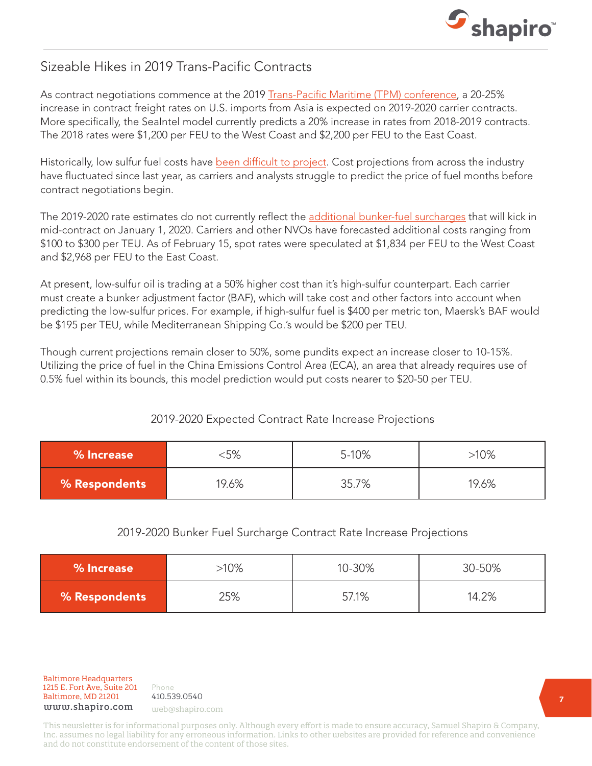

### Sizeable Hikes in 2019 Trans-Pacific Contracts

As contract negotiations commence at the 2019 [Trans-Pacific Maritime \(TPM\) conference](https://www.shapiro.com/2018-tpm-takeaways-the-certainty-of-uncertainty/), a 20-25% increase in contract freight rates on U.S. imports from Asia is expected on 2019-2020 carrier contracts. More specifically, the SeaIntel model currently predicts a 20% increase in rates from 2018-2019 contracts. The 2018 rates were \$1,200 per FEU to the West Coast and \$2,200 per FEU to the East Coast.

Historically, low sulfur fuel costs have [been difficult to project.](https://www.shapiro.com/blog/4-reasons-lower-bunker-fuel-prices-dont-mean-lower-shipping-rates-2/) Cost projections from across the industry have fluctuated since last year, as carriers and analysts struggle to predict the price of fuel months before contract negotiations begin.

The 2019-2020 rate estimates do not currently reflect the [additional bunker-fuel surcharges](https://www.shapiro.com/blog/low-sulfur-surcharge-high-confusion-and-high-costs/) that will kick in mid-contract on January 1, 2020. Carriers and other NVOs have forecasted additional costs ranging from \$100 to \$300 per TEU. As of February 15, spot rates were speculated at \$1,834 per FEU to the West Coast and \$2,968 per FEU to the East Coast.

At present, low-sulfur oil is trading at a 50% higher cost than it's high-sulfur counterpart. Each carrier must create a bunker adjustment factor (BAF), which will take cost and other factors into account when predicting the low-sulfur prices. For example, if high-sulfur fuel is \$400 per metric ton, Maersk's BAF would be \$195 per TEU, while Mediterranean Shipping Co.'s would be \$200 per TEU.

Though current projections remain closer to 50%, some pundits expect an increase closer to 10-15%. Utilizing the price of fuel in the China Emissions Control Area (ECA), an area that already requires use of 0.5% fuel within its bounds, this model prediction would put costs nearer to \$20-50 per TEU.

### 2019-2020 Expected Contract Rate Increase Projections

| % Increase           | :5%   | 5-10% | $>10\%$ |
|----------------------|-------|-------|---------|
| <b>% Respondents</b> | 19.6% | 35.7% | 19.6%   |

### 2019-2020 Bunker Fuel Surcharge Contract Rate Increase Projections

| % Increase           | $-10\%$ | 10-30% | 30-50% |
|----------------------|---------|--------|--------|
| <b>% Respondents</b> | 25%     | 57.1%  | 14.2%  |

Baltimore Headquarters Baltimore Headquarters 1215 E. Fort Ave, Suite 201 www.shapiro.com web@shapiro.com Baltimore, MD 21201

Phone 410.539.0540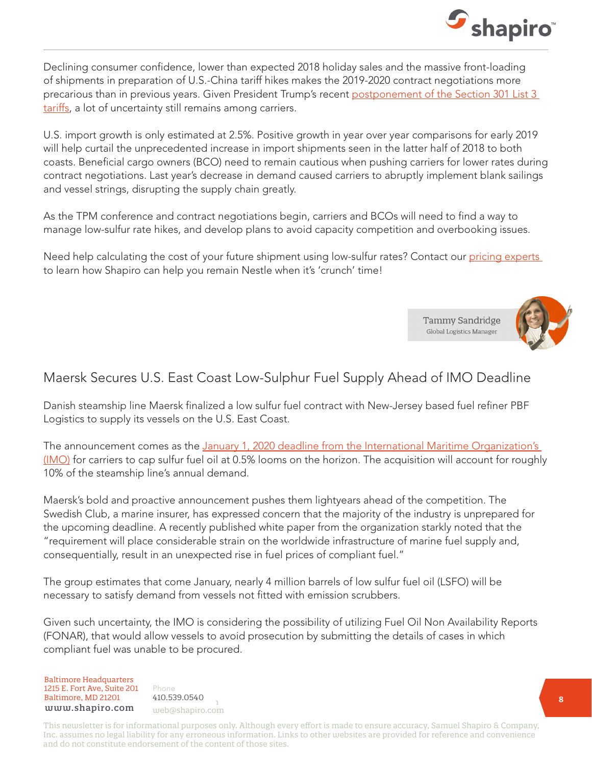

Declining consumer confidence, lower than expected 2018 holiday sales and the massive front-loading of shipments in preparation of U.S.-China tariff hikes makes the 2019-2020 contract negotiations more precarious than in previous years. Given President Trump's recent postponement of the Section 301 List 3 [tariffs,](https://www.shapiro.com/alerts/additional-section-301-list-3-tariffs-postponed-amidst-strengthening-u.s.-china-relations/) a lot of uncertainty still remains among carriers.

U.S. import growth is only estimated at 2.5%. Positive growth in year over year comparisons for early 2019 will help curtail the unprecedented increase in import shipments seen in the latter half of 2018 to both coasts. Beneficial cargo owners (BCO) need to remain cautious when pushing carriers for lower rates during contract negotiations. Last year's decrease in demand caused carriers to abruptly implement blank sailings and vessel strings, disrupting the supply chain greatly.

As the TPM conference and contract negotiations begin, carriers and BCOs will need to find a way to manage low-sulfur rate hikes, and develop plans to avoid capacity competition and overbooking issues.

Need help calculating the cost of your future shipment using low-sulfur rates? Contact our pricing experts to learn how Shapiro can help you remain Nestle when it's 'crunch' time!



# Maersk Secures U.S. East Coast Low-Sulphur Fuel Supply Ahead of IMO Deadline

Danish steamship line Maersk finalized a low sulfur fuel contract with New-Jersey based fuel refiner PBF Logistics to supply its vessels on the U.S. East Coast.

The announcement comes as the January 1, 2020 deadline from the International Maritime Organization's [\(IMO\)](https://www.shapiro.com/newsletters/october-2018-issue-198/#st-3) for carriers to cap sulfur fuel oil at 0.5% looms on the horizon. The acquisition will account for roughly 10% of the steamship line's annual demand.

Maersk's bold and proactive announcement pushes them lightyears ahead of the competition. The Swedish Club, a marine insurer, has expressed concern that the majority of the industry is unprepared for the upcoming deadline. A recently published white paper from the organization starkly noted that the "requirement will place considerable strain on the worldwide infrastructure of marine fuel supply and, consequentially, result in an unexpected rise in fuel prices of compliant fuel."

The group estimates that come January, nearly 4 million barrels of low sulfur fuel oil (LSFO) will be necessary to satisfy demand from vessels not fitted with emission scrubbers.

Given such uncertainty, the IMO is considering the possibility of utilizing Fuel Oil Non Availability Reports (FONAR), that would allow vessels to avoid prosecution by submitting the details of cases in which compliant fuel was unable to be procured.

Baltimore Headquarters 1215 E. Fort Ave, Suite 201 **Baltimore, MD 21201** 410.539.0540 www.shapiro.com web@shapiro.com

Phone **1915** 410.539.0540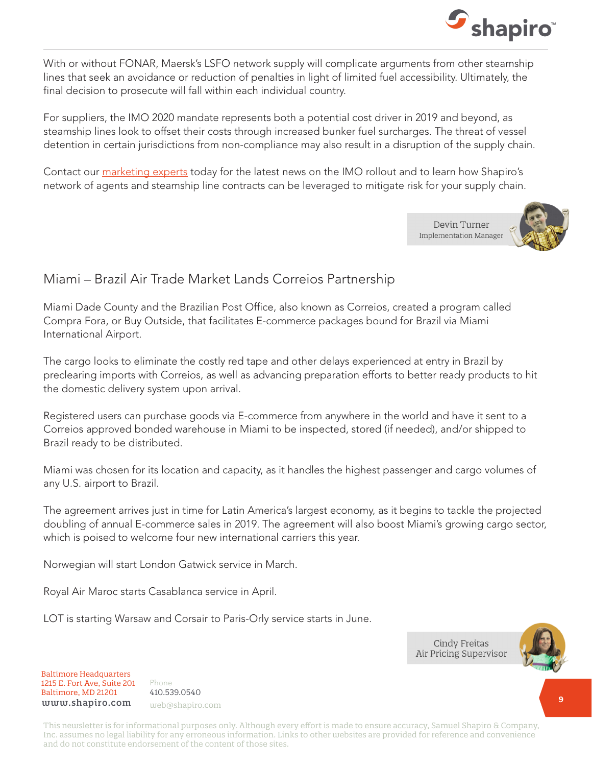

With or without FONAR, Maersk's LSFO network supply will complicate arguments from other steamship lines that seek an avoidance or reduction of penalties in light of limited fuel accessibility. Ultimately, the final decision to prosecute will fall within each individual country.

For suppliers, the IMO 2020 mandate represents both a potential cost driver in 2019 and beyond, as steamship lines look to offset their costs through increased bunker fuel surcharges. The threat of vessel detention in certain jurisdictions from non-compliance may also result in a disruption of the supply chain.

Contact our [marketing experts](mailto:web@shapiro.com) today for the latest news on the IMO rollout and to learn how Shapiro's network of agents and steamship line contracts can be leveraged to mitigate risk for your supply chain.

> Devin Turner **Implementation Manager**



## Miami – Brazil Air Trade Market Lands Correios Partnership

Miami Dade County and the Brazilian Post Office, also known as Correios, created a program called Compra Fora, or Buy Outside, that facilitates E-commerce packages bound for Brazil via Miami International Airport.

The cargo looks to eliminate the costly red tape and other delays experienced at entry in Brazil by preclearing imports with Correios, as well as advancing preparation efforts to better ready products to hit the domestic delivery system upon arrival.

Registered users can purchase goods via E-commerce from anywhere in the world and have it sent to a Correios approved bonded warehouse in Miami to be inspected, stored (if needed), and/or shipped to Brazil ready to be distributed.

Miami was chosen for its location and capacity, as it handles the highest passenger and cargo volumes of any U.S. airport to Brazil.

The agreement arrives just in time for Latin America's largest economy, as it begins to tackle the projected doubling of annual E-commerce sales in 2019. The agreement will also boost Miami's growing cargo sector, which is poised to welcome four new international carriers this year.

Norwegian will start London Gatwick service in March.

Royal Air Maroc starts Casablanca service in April.

LOT is starting Warsaw and Corsair to Paris-Orly service starts in June.

**Cindy Freitas** Air Pricing Supervisor



Baltimore Headquarters Baltimore Headquarters 1215 E. Fort Ave, Suite 201 1215 E. Fort Ave, Suite 201 Baltimore, MD 21201 Baltimore, MD 21201  ${\tt www.shapiro.com}$  web@shapiro.com

Phone Phone 410.539.0540